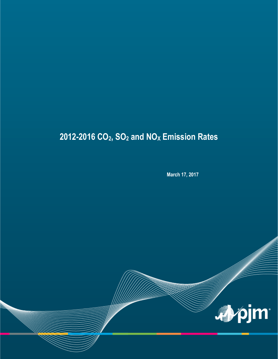# **2012-2016 CO2, SO2 and NOX Emission Rates**

**March 17, 2017**

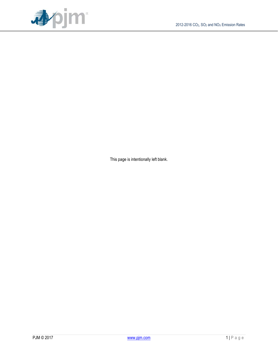

This page is intentionally left blank.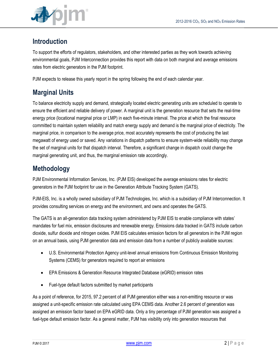

### **Introduction**

To support the efforts of regulators, stakeholders, and other interested parties as they work towards achieving environmental goals, PJM Interconnection provides this report with data on both marginal and average emissions rates from electric generators in the PJM footprint.

PJM expects to release this yearly report in the spring following the end of each calendar year.

### **Marginal Units**

To balance electricity supply and demand, strategically located electric generating units are scheduled to operate to ensure the efficient and reliable delivery of power. A marginal unit is the generation resource that sets the real-time energy price (locational marginal price or LMP) in each five-minute interval. The price at which the final resource committed to maintain system reliability and match energy supply and demand is the marginal price of electricity. The marginal price, in comparison to the average price, most accurately represents the cost of producing the last megawatt of energy used or saved. Any variations in dispatch patterns to ensure system-wide reliability may change the set of marginal units for that dispatch interval. Therefore, a significant change in dispatch could change the marginal generating unit, and thus, the marginal emission rate accordingly.

### **Methodology**

PJM Environmental Information Services, Inc. (PJM EIS) developed the average emissions rates for electric generators in the PJM footprint for use in the Generation Attribute Tracking System (GATS).

PJM-EIS, Inc. is a wholly owned subsidiary of PJM Technologies, Inc. which is a subsidiary of PJM Interconnection. It provides consulting services on energy and the environment, and owns and operates the GATS.

The GATS is an all-generation data tracking system administered by PJM EIS to enable compliance with states' mandates for fuel mix, emission disclosures and renewable energy. Emissions data tracked in GATS include carbon dioxide, sulfur dioxide and nitrogen oxides. PJM EIS calculates emission factors for all generators in the PJM region on an annual basis, using PJM generation data and emission data from a number of publicly available sources:

- U.S. Environmental Protection Agency unit-level annual emissions from Continuous Emission Monitoring Systems (CEMS) for generators required to report air emissions
- EPA Emissions & Generation Resource Integrated Database (eGRID) emission rates
- Fuel-type default factors submitted by market participants

As a point of reference, for 2015, 97.2 percent of all PJM generation either was a non-emitting resource or was assigned a unit-specific emission rate calculated using EPA CEMS data. Another 2.6 percent of generation was assigned an emission factor based on EPA eGRID data. Only a tiny percentage of PJM generation was assigned a fuel-type default emission factor. As a general matter, PJM has visibility only into generation resources that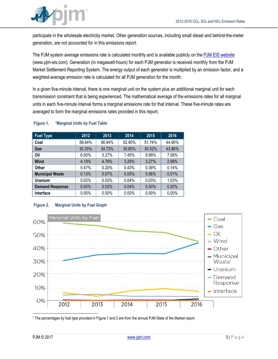

participate in the wholesale electricity market. Other generation sources, including small diesel and behind-the-meter generation, are not accounted for in this emissions report.

The PJM system average emissions rate is calculated monthly and is available publicly on th[e PJM EIS website](http://www.pjm-eis.com/) (www.pjm-eis.com). Generation (in megawatt-hours) for each PJM generator is received monthly from the PJM Market Settlement Reporting System. The energy output of each generator is multiplied by an emission factor, and a weighted-average emission rate is calculated for all PJM generation for the month.

In a given five-minute interval, there is one marginal unit on the system plus an additional marginal unit for each transmission constraint that is being experienced. The mathematical average of the emissions rates for all marginal units in each five-minute interval forms a marginal emissions rate for that interval. These five-minute rates are averaged to form the marginal emissions rates provided in this report.

| <b>Fuel Type</b>       | 2012   | 2013   | 2014   | 2015   | 2016   |
|------------------------|--------|--------|--------|--------|--------|
| Coal                   | 58.84% | 56.94% | 52.90% | 51.74% | 44.90% |
| Gas                    | 30.35% | 34.72% | 35.80% | 35.52% | 43.86% |
| Oil                    | 6.00%  | 3.27%  | 7.45%  | 8.99%  | 7.08%  |
| <b>Wind</b>            | 4.19%  | 4.76%  | 3.29%  | 3.27%  | 2.98%  |
| <b>Other</b>           | 0.47%  | 0.20%  | 0.43%  | 0.39%  | 0.14%  |
| <b>Municipal Waste</b> | 0.13%  | 0.07%  | 0.05%  | 0.06%  | 0.01%  |
| Uranium                | 0.02%  | 0.02%  | 0.04%  | 0.03%  | 1.03%  |
| <b>Demand Response</b> | 0.00%  | 0.02%  | 0.04%  | 0.00%  | 0.00%  |
| Interface              | 0.00%  | 0.00%  | 0.00%  | 0.00%  | 0.00%  |

### **Figure 1. [1](#page-3-0)Marginal Units by Fuel Table**

### **Figure 2. Marginal Units by Fuel Graph**



<span id="page-3-0"></span>1 The percentages by fuel type provided in Figure 1 and 2 are from the annual PJM State of the Market report.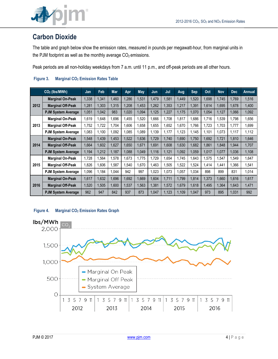

### **Carbon Dioxide**

The table and graph below show the emission rates, measured in pounds per megawatt-hour, from marginal units in the PJM footprint as well as the monthly average  $CO<sub>2</sub>$  emissions.

Peak periods are all non-holiday weekdays from 7 a.m. until 11 p.m., and off-peak periods are all other hours.

|      | $CO2$ (lbs/MWh)           | Jan   | Feb   | <b>Mar</b> | Apr   | May   | Jun   | Jul   | <b>Aug</b> | <b>Sep</b> | Oct   | <b>Nov</b> | <b>Dec</b> | Annual |
|------|---------------------------|-------|-------|------------|-------|-------|-------|-------|------------|------------|-------|------------|------------|--------|
|      | <b>Marginal On-Peak</b>   | 1,338 | 1,341 | 1.460      | 1,286 | 1,531 | 1,479 | 1,581 | 1,449      | 1,520      | 1,698 | 1,745      | 1,769      | 1,516  |
| 2012 | <b>Marginal Off-Peak</b>  | 1,281 | 1,303 | 1,315      | 1,208 | 1,453 | 1,262 | 1,353 | 1,217      | 1,391      | 1.614 | 1,695      | 1,678      | 1,400  |
|      | <b>PJM System Average</b> | 1,051 | 1.042 | 983        | 1,020 | 1,094 | 1,125 | 1,227 | 1,175      | 1,070      | 1,054 | 1,127      | 1.066      | 1,092  |
|      | <b>Marginal On-Peak</b>   | 1,619 | 1,648 | 1,696      | 1,455 | ,520  | 1,666 | 1,708 | ,817       | 1,686      | 1,716 | ,539       | 1,798      | 1,656  |
| 2013 | <b>Marginal Off-Peak</b>  | 1,752 | 1,722 | 1,704      | 1,606 | ,658  | 1,655 | 1,652 | ,670       | 1,766      | 1,723 | 1,703      | 1,777      | 1,699  |
|      | <b>PJM System Average</b> | 1,083 | 1,100 | 1,092      | 1,085 | 1,089 | 1,139 | 1,177 | ,123       | 1,145      | 1,101 | 1,073      | 1,117      | 1,112  |
|      | <b>Marginal On-Peak</b>   | 1,548 | 1,439 | 1,453      | 1,522 | 1,636 | 1,729 | 1,740 | 1,690      | 1,750      | 1,692 | 1,721      | 1,810      | 1,646  |
| 2014 | <b>Marginal Off-Peak</b>  | 1,664 | 1,602 | 1,627      | 1,650 | 1,671 | 1,691 | 1,608 | 1,630      | 1,682      | 1,861 | 1,848      | 1,944      | 1,707  |
|      | <b>PJM System Average</b> | 1,194 | 1,212 | 1,187      | 1,088 | 1,049 | 1,116 | 1,121 | 1,092      | 1,059      | 1,017 | 1,077      | 1,036      | 1,108  |
|      | <b>Marginal On-Peak</b>   | 1,728 | 1,564 | 1,578      | 1,673 | 1,775 | 1,729 | 1,654 | .745       | 1,643      | 1,575 | .547       | 1,549      | 1,647  |
| 2015 | <b>Marginal Off-Peak</b>  | 1,826 | 1,606 | 1,587      | 1,540 | 1,670 | 1,463 | 1,505 | ,522       | 1,524      | 1,414 | 1,441      | 1,366      | 1,541  |
|      | <b>PJM System Average</b> | 1,096 | 1,184 | 1,044      | 942   | 997   | 1,023 | 1,073 | ,057       | 1,034      | 898   | 899        | 831        | 1,014  |
|      | <b>Marginal On-Peak</b>   | 1,617 | 1,632 | 1,696      | 1,692 | 1,669 | 1,604 | 1,711 | 1,799      | 1,814      | 1,373 | 1,660      | 1,616      | 1,617  |
| 2016 | <b>Marginal Off-Peak</b>  | 1,520 | 1,505 | 1,600      | 1,537 | 1,563 | 1,381 | 1,572 | 1,679      | 1,618      | 1,495 | 1,364      | 1,643      | 1,471  |
|      | <b>PJM System Average</b> | 962   | 947   | 842        | 937   | 873   | 1,047 | 1,123 | 1,109      | 1,047      | 973   | 895        | 1,031      | 992    |

#### **Figure 3. Marginal CO2 Emission Rates Table**

### **Figure 4. Marginal CO2 Emission Rates Graph**

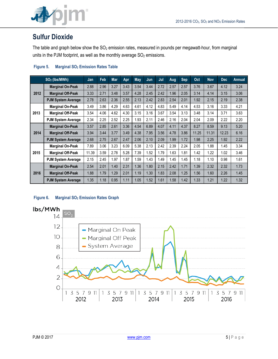

### **Sulfur Dioxide**

The table and graph below show the  $SO<sub>2</sub>$  emission rates, measured in pounds per megawatt-hour, from marginal units in the PJM footprint, as well as the monthly average  $SO<sub>2</sub>$  emissions.

|      | $SO2$ (lbs/MWh)           | Jan   | Feb  | <b>Mar</b> | Apr  | <b>May</b> | Jun  | Jul  | Aug  | <b>Sep</b> | Oct   | <b>Nov</b> | <b>Dec</b> | <b>Annual</b> |
|------|---------------------------|-------|------|------------|------|------------|------|------|------|------------|-------|------------|------------|---------------|
| 2012 | <b>Marginal On-Peak</b>   | 2.88  | 2.96 | 3.27       | 3.43 | 3.54       | 3.44 | 2.72 | 2.57 | 2.57       | 3.76  | 3.67       | 4.12       | 3.24          |
|      | <b>Marginal Off-Peak</b>  | 3.33  | 2.71 | 3.48       | 3.57 | 4.28       | 2.45 | 2.42 | 1.96 | 2.05       | 3.14  | 4.14       | 3.15       | 3.06          |
|      | <b>PJM System Average</b> | 2.78  | 2.63 | 2.36       | 2.55 | 2.13       | 2.42 | 2.83 | 2.54 | 2.01       | 1.92  | 2.15       | 2.19       | 2.38          |
|      | <b>Marginal On-Peak</b>   | 3.49  | 3.86 | 4.29       | 4.63 | 4.61       | 4.12 | 4.83 | 5.49 | 4.14       | 4.53  | 3.16       | 3.33       | 4.21          |
| 2013 | <b>Marginal Off-Peak</b>  | 3.54  | 4.06 | 4.62       | 4.30 | 3.15       | 3.16 | 3.67 | 3.54 | 3.13       | 3.48  | 3.14       | 3.71       | 3.63          |
|      | <b>PJM System Average</b> | 2.34  | 2.25 | 2.52       | 2.25 | 1.93       | 2.11 | 2.46 | 2.16 | 2.04       | 2.04  | 2.09       | 2.22       | 2.20          |
|      | <b>Marginal On-Peak</b>   | 3.57  | 2.85 | 2.61       | 3.36 | 4.54       | 6.89 | 4.07 | 4.11 | 4.37       | 8.27  | 8.59       | 9.13       | 5.20          |
| 2014 | <b>Marginal Off-Peak</b>  | 3.94  | 3.44 | 3.77       | 3.49 | 4.38       | 7.95 | 3.56 | 4.78 | 3.86       | 11.25 | 11.31      | 12.23      | 6.16          |
|      | <b>PJM System Average</b> | 2.68  | 2.75 | 2.67       | 2.47 | 2.06       | 2.10 | 2.09 | 1.99 | 1.72       | 1.98  | 2.25       | 1.92       | 2.22          |
|      | <b>Marginal On-Peak</b>   | 7.89  | 3.06 | 3.23       | 6.09 | 5.38       | 2.13 | 2.42 | 2.39 | 2.24       | 2.05  | 1.88       | 1.45       | 3.34          |
| 2015 | <b>Marginal Off-Peak</b>  | 11.39 | 3.59 | 2.78       | 5.28 | 7.39       | 1.52 | 1.79 | 1.63 | 1.81       | 1.42  | 1.22       | 1.02       | 3.46          |
|      | <b>PJM System Average</b> | 2.15  | 2.45 | 1.97       | 1.87 | 1.59       | 1.43 | 1.49 | 1.45 | 1.45       | 1.18  | 1.10       | 0.98       | 1.61          |
|      | <b>Marginal On-Peak</b>   | 2.54  | 2.01 | 1.40       | 2.31 | 1.36       | 1.80 | 2.15 | 2.42 | 1.71       | 1.39  | 2.32       | 2.32       | 1.73          |
| 2016 | <b>Marginal Off-Peak</b>  | 1.88  | 1.79 | 1.29       | 2.01 | 1.19       | 1.30 | 1.83 | 2.08 | 1.25       | 1.56  | 1.60       | 2.26       | 1.45          |
|      | <b>PJM System Average</b> | 1.35  | 1.18 | 0.95       | 1.11 | 1.05       | 1.52 | 1.61 | 1.58 | 1.42       | 1.33  | 1.21       | 1.22       | 1.32          |

#### **Figure 5. Marginal SO2 Emission Rates Table**

### **Figure 6. Marginal SO2 Emission Rates Graph**

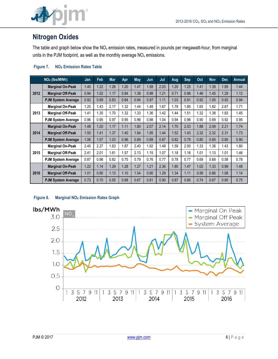

### **Nitrogen Oxides**

The table and graph below show the  $NO<sub>x</sub>$  emission rates, measured in pounds per megawatt-hour, from marginal units in the PJM footprint, as well as the monthly average  $NO<sub>x</sub>$  emissions.

### **Figure 7. NO<sub>X</sub> Emission Rates Table**

|      | $NOX$ (lbs/MWh)           | Jan  | Feb  | <b>Mar</b> | Apr  | May  | Jun  | Jul  | <b>Aug</b> | <b>Sep</b> | Oct  | <b>Nov</b> | <b>Dec</b> | <b>Annual</b> |
|------|---------------------------|------|------|------------|------|------|------|------|------------|------------|------|------------|------------|---------------|
|      | <b>Marginal On-Peak</b>   | 1.40 | 1.22 | 1.26       | 1.20 | 1.47 | 1.58 | 2.03 | 1.20       | 1.25       | 1.41 | 1.39       | 1.85       | 1.44          |
| 2012 | <b>Marginal Off-Peak</b>  | 0.94 | 1.02 | 1.17       | 0.84 | 1.38 | 0.98 | 1.21 | 0.71       | 0.96       | 1.46 | 1.45       | 1.29       | 1.12          |
|      | <b>PJM System Average</b> | 0.92 | 0.89 | 0.83       | 0.84 | 0.94 | 0.97 | 1.11 | 1.03       | 0.91       | 0.92 | 1.00       | 0.92       | 0.94          |
|      | <b>Marginal On-Peak</b>   | 1.25 | 1.43 | 2.17       | 1.32 | 1.44 | 1.48 | 1.67 | 1.79       | 1.80       | 1.65 | 1.82       | 2.67       | 1.71          |
| 2013 | <b>Marginal Off-Peak</b>  | 1.41 | 1.35 | 1.70       | 1.32 | 1.33 | 1.36 | 1.42 | 1.44       | 1.51       | 1.32 | 1.38       | 1.83       | 1.45          |
|      | <b>PJM System Average</b> | 0.96 | 0.95 | 0.97       | 0.95 | 0.96 | 0.98 | 1.04 | 0.94       | 0.96       | 0.90 | 0.89       | 0.92       | 0.95          |
|      | <b>Marginal On-Peak</b>   | 1.48 | 1.20 | 1.17       | 1.11 | 1.80 | 2.07 | 2.14 | 1.70       | 2.03       | 1.88 | 2.09       | 2.21       | 1.74          |
| 2014 | <b>Marginal Off-Peak</b>  | 1.50 | 1.41 | 1.37       | 1.40 | 1.84 | 1.95 | 1.44 | 1.52       | 1.43       | 2.32 | 2.32       | 2.31       | 1.73          |
|      | <b>PJM System Average</b> | 1.06 | 1.07 | 1.03       | 0.96 | 0.89 | 0.89 | 0.87 | 0.82       | 0.78       | 0.80 | 0.85       | 0.80       | 0.90          |
|      | <b>Marginal On-Peak</b>   | 2.45 | 2.27 | 1.63       | 1.87 | 2.40 | 1.92 | 1.49 | 1.59       | 2.00       | 1.33 | 1.36       | 1.43       | 1.80          |
| 2015 | <b>Marginal Off-Peak</b>  | 2.41 | 2.01 | 1.61       | 1.57 | 2.13 | 1.15 | 1.07 | 1.18       | 1.16       | 1.01 | 1.13       | 1.01       | 1.46          |
|      | <b>PJM System Average</b> | 0.87 | 0.98 | 0.82       | 0.75 | 0.79 | 0.76 | 0.77 | 0.78       | 0.77       | 0.69 | 0.68       | 0.58       | 0.78          |
|      | <b>Marginal On-Peak</b>   | 1.22 | 1.14 | 1.29       | 1.28 | 1.27 | 1.21 | 2.36 | 1.80       | 1.47       | 1.02 | 1.33       | 0.99       | 1.48          |
| 2016 | <b>Marginal Off-Peak</b>  | 1.01 | 0.90 | 1.13       | 1.10 | 1.54 | 0.90 | 1.29 | 1.34       | 1.11       | 0.99 | 0.86       | 1.08       | 1.14          |
|      | <b>PJM System Average</b> | 0.73 | 0.70 | 0.55       | 0.68 | 0.67 | 0.81 | 0.90 | 0.87       | 0.80       | 0.74 | 0.67       | 0.80       | 0.75          |

#### **Figure 8. Marginal NO<sub>x</sub> Emission Rates Graph**